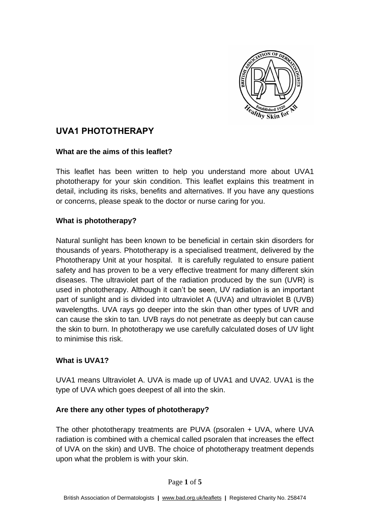

# **UVA1 PHOTOTHERAPY**

#### **What are the aims of this leaflet?**

This leaflet has been written to help you understand more about UVA1 phototherapy for your skin condition. This leaflet explains this treatment in detail, including its risks, benefits and alternatives. If you have any questions or concerns, please speak to the doctor or nurse caring for you.

#### **What is phototherapy?**

Natural sunlight has been known to be beneficial in certain skin disorders for thousands of years. Phototherapy is a specialised treatment, delivered by the Phototherapy Unit at your hospital. It is carefully regulated to ensure patient safety and has proven to be a very effective treatment for many different skin diseases. The ultraviolet part of the radiation produced by the sun (UVR) is used in phototherapy. Although it can't be seen, UV radiation is an important part of sunlight and is divided into ultraviolet A (UVA) and ultraviolet B (UVB) wavelengths. UVA rays go deeper into the skin than other types of UVR and can cause the skin to tan. UVB rays do not penetrate as deeply but can cause the skin to burn. In phototherapy we use carefully calculated doses of UV light to minimise this risk.

## **What is UVA1?**

UVA1 means Ultraviolet A. UVA is made up of UVA1 and UVA2. UVA1 is the type of UVA which goes deepest of all into the skin.

#### **Are there any other types of phototherapy?**

The other phototherapy treatments are PUVA (psoralen + UVA, where UVA radiation is combined with a chemical called psoralen that increases the effect of UVA on the skin) and UVB. The choice of phototherapy treatment depends upon what the problem is with your skin.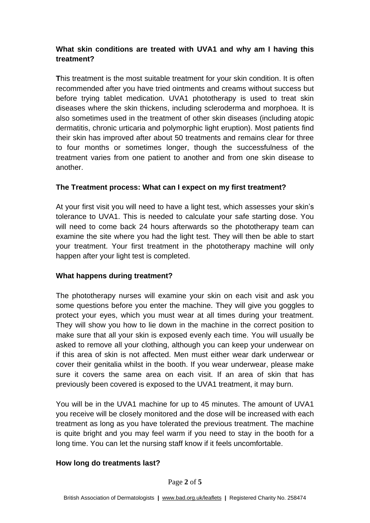# **What skin conditions are treated with UVA1 and why am I having this treatment?**

**T**his treatment is the most suitable treatment for your skin condition. It is often recommended after you have tried ointments and creams without success but before trying tablet medication. UVA1 phototherapy is used to treat skin diseases where the skin thickens, including scleroderma and morphoea. It is also sometimes used in the treatment of other skin diseases (including atopic dermatitis, chronic urticaria and polymorphic light eruption). Most patients find their skin has improved after about 50 treatments and remains clear for three to four months or sometimes longer, though the successfulness of the treatment varies from one patient to another and from one skin disease to another.

## **The Treatment process: What can I expect on my first treatment?**

At your first visit you will need to have a light test, which assesses your skin's tolerance to UVA1. This is needed to calculate your safe starting dose. You will need to come back 24 hours afterwards so the phototherapy team can examine the site where you had the light test. They will then be able to start your treatment. Your first treatment in the phototherapy machine will only happen after your light test is completed.

## **What happens during treatment?**

The phototherapy nurses will examine your skin on each visit and ask you some questions before you enter the machine. They will give you goggles to protect your eyes, which you must wear at all times during your treatment. They will show you how to lie down in the machine in the correct position to make sure that all your skin is exposed evenly each time. You will usually be asked to remove all your clothing, although you can keep your underwear on if this area of skin is not affected. Men must either wear dark underwear or cover their genitalia whilst in the booth. If you wear underwear, please make sure it covers the same area on each visit. If an area of skin that has previously been covered is exposed to the UVA1 treatment, it may burn.

You will be in the UVA1 machine for up to 45 minutes. The amount of UVA1 you receive will be closely monitored and the dose will be increased with each treatment as long as you have tolerated the previous treatment. The machine is quite bright and you may feel warm if you need to stay in the booth for a long time. You can let the nursing staff know if it feels uncomfortable.

## **How long do treatments last?**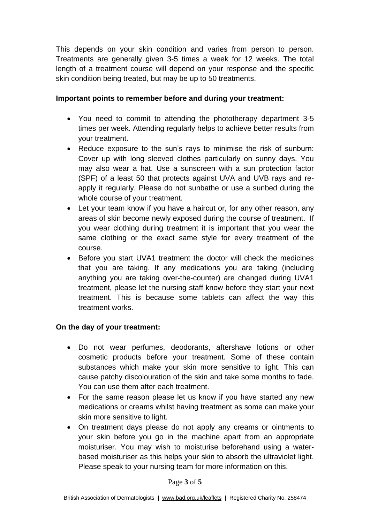This depends on your skin condition and varies from person to person. Treatments are generally given 3-5 times a week for 12 weeks. The total length of a treatment course will depend on your response and the specific skin condition being treated, but may be up to 50 treatments.

#### **Important points to remember before and during your treatment:**

- You need to commit to attending the phototherapy department 3-5 times per week. Attending regularly helps to achieve better results from your treatment.
- Reduce exposure to the sun's rays to minimise the risk of sunburn: Cover up with long sleeved clothes particularly on sunny days. You may also wear a hat. Use a sunscreen with a sun protection factor (SPF) of a least 50 that protects against UVA and UVB rays and reapply it regularly. Please do not sunbathe or use a sunbed during the whole course of your treatment.
- Let your team know if you have a haircut or, for any other reason, any areas of skin become newly exposed during the course of treatment. If you wear clothing during treatment it is important that you wear the same clothing or the exact same style for every treatment of the course.
- Before you start UVA1 treatment the doctor will check the medicines that you are taking. If any medications you are taking (including anything you are taking over-the-counter) are changed during UVA1 treatment, please let the nursing staff know before they start your next treatment. This is because some tablets can affect the way this treatment works.

## **On the day of your treatment:**

- Do not wear perfumes, deodorants, aftershave lotions or other cosmetic products before your treatment. Some of these contain substances which make your skin more sensitive to light. This can cause patchy discolouration of the skin and take some months to fade. You can use them after each treatment.
- For the same reason please let us know if you have started any new medications or creams whilst having treatment as some can make your skin more sensitive to light.
- On treatment days please do not apply any creams or ointments to your skin before you go in the machine apart from an appropriate moisturiser. You may wish to moisturise beforehand using a waterbased moisturiser as this helps your skin to absorb the ultraviolet light. Please speak to your nursing team for more information on this.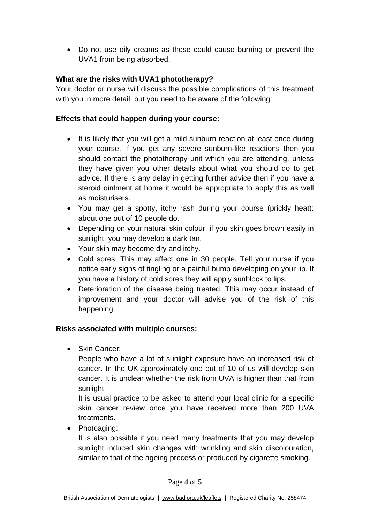Do not use oily creams as these could cause burning or prevent the UVA1 from being absorbed.

## **What are the risks with UVA1 phototherapy?**

Your doctor or nurse will discuss the possible complications of this treatment with you in more detail, but you need to be aware of the following:

## **Effects that could happen during your course:**

- It is likely that you will get a mild sunburn reaction at least once during your course. If you get any severe sunburn-like reactions then you should contact the phototherapy unit which you are attending, unless they have given you other details about what you should do to get advice. If there is any delay in getting further advice then if you have a steroid ointment at home it would be appropriate to apply this as well as moisturisers.
- You may get a spotty, itchy rash during your course (prickly heat): about one out of 10 people do.
- Depending on your natural skin colour, if you skin goes brown easily in sunlight, you may develop a dark tan.
- Your skin may become dry and itchy.
- Cold sores. This may affect one in 30 people. Tell your nurse if you notice early signs of tingling or a painful bump developing on your lip. If you have a history of cold sores they will apply sunblock to lips.
- Deterioration of the disease being treated. This may occur instead of improvement and your doctor will advise you of the risk of this happening.

## **Risks associated with multiple courses:**

Skin Cancer:

People who have a lot of sunlight exposure have an increased risk of cancer. In the UK approximately one out of 10 of us will develop skin cancer. It is unclear whether the risk from UVA is higher than that from sunlight.

It is usual practice to be asked to attend your local clinic for a specific skin cancer review once you have received more than 200 UVA treatments.

• Photoaging:

It is also possible if you need many treatments that you may develop sunlight induced skin changes with wrinkling and skin discolouration, similar to that of the ageing process or produced by cigarette smoking.